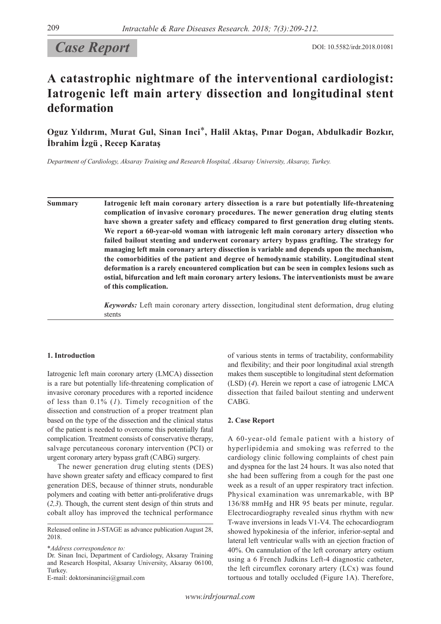# **Case Report** DOI: 10.5582/irdr.2018.01081

## **A catastrophic nightmare of the interventional cardiologist: Iatrogenic left main artery dissection and longitudinal stent deformation**

**Oguz Yıldırım, Murat Gul, Sinan Inci**\***, Halil Aktaş, Pınar Dogan, Abdulkadir Bozkır, İbrahim İzgü , Recep Karataş**

*Department of Cardiology, Aksaray Training and Research Hospital, Aksaray University, Aksaray, Turkey.*

**Summary Iatrogenic left main coronary artery dissection is a rare but potentially life-threatening complication of invasive coronary procedures. The newer generation drug eluting stents have shown a greater safety and efficacy compared to first generation drug eluting stents. We report a 60-year-old woman with iatrogenic left main coronary artery dissection who failed bailout stenting and underwent coronary artery bypass grafting. The strategy for managing left main coronary artery dissection is variable and depends upon the mechanism, the comorbidities of the patient and degree of hemodynamic stability. Longitudinal stent deformation is a rarely encountered complication but can be seen in complex lesions such as ostial, bifurcation and left main coronary artery lesions. The interventionists must be aware of this complication.**

> *Keywords:* Left main coronary artery dissection, longitudinal stent deformation, drug eluting stents

## **1. Introduction**

Iatrogenic left main coronary artery (LMCA) dissection is a rare but potentially life-threatening complication of invasive coronary procedures with a reported incidence of less than 0.1% (*1*). Timely recognition of the dissection and construction of a proper treatment plan based on the type of the dissection and the clinical status of the patient is needed to overcome this potentially fatal complication. Treatment consists of conservative therapy, salvage percutaneous coronary intervention (PCI) or urgent coronary artery bypass graft (CABG) surgery.

The newer generation drug eluting stents (DES) have shown greater safety and efficacy compared to first generation DES, because of thinner struts, nondurable polymers and coating with better anti-proliferative drugs (*2,3*). Though, the current stent design of thin struts and cobalt alloy has improved the technical performance

Released online in J-STAGE as advance publication August 28, 2018.

\**Address correspondence to:*

E-mail: doktorsinaninci@gmail.com

of various stents in terms of tractability, conformability and flexibility; and their poor longitudinal axial strength makes them susceptible to longitudinal stent deformation (LSD) (*4*). Herein we report a case of iatrogenic LMCA dissection that failed bailout stenting and underwent CABG.

#### **2. Case Report**

A 60-year-old female patient with a history of hyperlipidemia and smoking was referred to the cardiology clinic following complaints of chest pain and dyspnea for the last 24 hours. It was also noted that she had been suffering from a cough for the past one week as a result of an upper respiratory tract infection. Physical examination was unremarkable, with BP 136/88 mmHg and HR 95 beats per minute, regular. Electrocardiography revealed sinus rhythm with new T-wave inversions in leads V1-V4. The echocardiogram showed hypokinesia of the inferior, inferior-septal and lateral left ventricular walls with an ejection fraction of 40%. On cannulation of the left coronary artery ostium using a 6 French Judkins Left-4 diagnostic catheter, the left circumflex coronary artery (LCx) was found tortuous and totally occluded (Figure 1A). Therefore,

Dr. Sinan Inci, Department of Cardiology, Aksaray Training and Research Hospital, Aksaray University, Aksaray 06100, Turkey.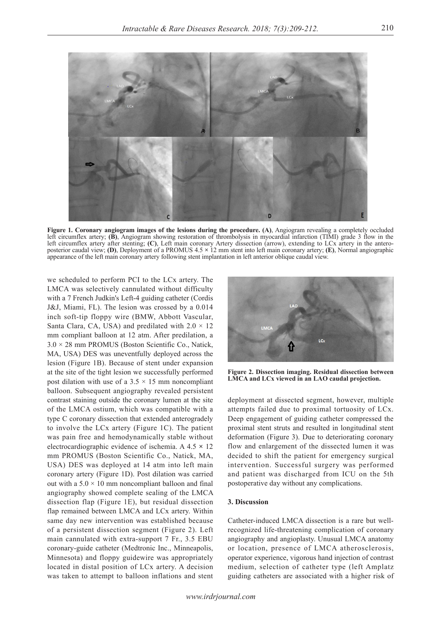

**Figure 1. Coronary angiogram images of the lesions during the procedure. (A)**, Angiogram revealing a completely occluded left circumflex artery; **(B)**, Angiogram showing restoration of thrombolysis in myocardial infarction (TIMI) grade 3 flow in the left circumflex artery after stenting; **(C)**, Left main coronary Artery dissection (arrow), extending to LCx artery in the anteroposterior caudal view; **(D)**, Deployment of a PROMUS 4.5 **×** 12 mm stent into left main coronary artery; **(E)**, Normal angiographic appearance of the left main coronary artery following stent implantation in left anterior oblique caudal view.

we scheduled to perform PCI to the LCx artery. The LMCA was selectively cannulated without difficulty with a 7 French Judkin's Left-4 guiding catheter (Cordis J&J, Miami, FL). The lesion was crossed by a 0.014 inch soft-tip floppy wire (BMW, Abbott Vascular, Santa Clara, CA, USA) and predilated with  $2.0 \times 12$ mm compliant balloon at 12 atm. After predilation, a 3.0 × 28 mm PROMUS (Boston Scientific Co., Natick, MA, USA) DES was uneventfully deployed across the lesion (Figure 1B). Because of stent under expansion at the site of the tight lesion we successfully performed post dilation with use of a  $3.5 \times 15$  mm noncompliant balloon. Subsequent angiography revealed persistent contrast staining outside the coronary lumen at the site of the LMCA ostium, which was compatible with a type C coronary dissection that extended anterogradely to involve the LCx artery (Figure 1C). The patient was pain free and hemodynamically stable without electrocardiographic evidence of ischemia. A 4.5 **×** 12 mm PROMUS (Boston Scientific Co., Natick, MA, USA) DES was deployed at 14 atm into left main coronary artery (Figure 1D). Post dilation was carried out with a  $5.0 \times 10$  mm noncompliant balloon and final angiography showed complete sealing of the LMCA dissection flap (Figure 1E), but residual dissection flap remained between LMCA and LCx artery. Within same day new intervention was established because of a persistent dissection segment (Figure 2). Left main cannulated with extra-support 7 Fr., 3.5 EBU coronary-guide catheter (Medtronic Inc., Minneapolis, Minnesota) and floppy guidewire was appropriately located in distal position of LCx artery. A decision was taken to attempt to balloon inflations and stent



**Figure 2. Dissection imaging. Residual dissection between LMCA and LCx viewed in an LAO caudal projection.**

deployment at dissected segment, however, multiple attempts failed due to proximal tortuosity of LCx. Deep engagement of guiding catheter compressed the proximal stent struts and resulted in longitudinal stent deformation (Figure 3). Due to deteriorating coronary flow and enlargement of the dissected lumen it was decided to shift the patient for emergency surgical intervention. Successful surgery was performed and patient was discharged from ICU on the 5th postoperative day without any complications.

## **3. Discussion**

Catheter-induced LMCA dissection is a rare but wellrecognized life-threatening complication of coronary angiography and angioplasty. Unusual LMCA anatomy or location, presence of LMCA atherosclerosis, operator experience, vigorous hand injection of contrast medium, selection of catheter type (left Amplatz guiding catheters are associated with a higher risk of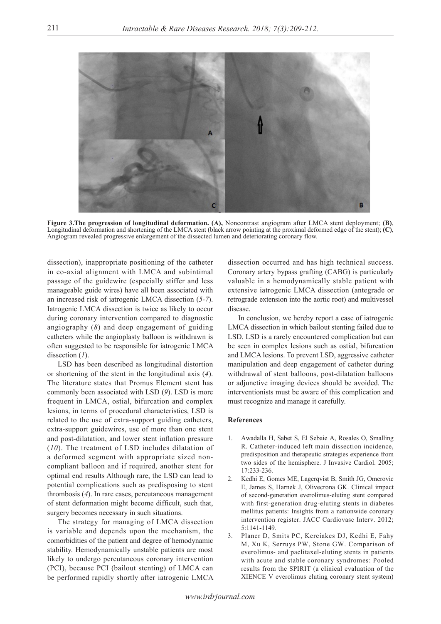

**Figure 3.The progression of longitudinal deformation. (A),** Noncontrast angiogram after LMCA stent deployment; **(B)**, Longitudinal deformation and shortening of the LMCA stent (black arrow pointing at the proximal deformed edge of the stent); **(C)**, Angiogram revealed progressive enlargement of the dissected lumen and deteriorating coronary flow.

dissection), inappropriate positioning of the catheter in co-axial alignment with LMCA and subintimal passage of the guidewire (especially stiffer and less manageable guide wires) have all been associated with an increased risk of iatrogenic LMCA dissection (*5-7*). Iatrogenic LMCA dissection is twice as likely to occur during coronary intervention compared to diagnostic angiography (*8*) and deep engagement of guiding catheters while the angioplasty balloon is withdrawn is often suggested to be responsible for iatrogenic LMCA dissection (*1*).

LSD has been described as longitudinal distortion or shortening of the stent in the longitudinal axis (*4*). The literature states that Promus Element stent has commonly been associated with LSD (*9*). LSD is more frequent in LMCA, ostial, bifurcation and complex lesions, in terms of procedural characteristics, LSD is related to the use of extra-support guiding catheters, extra-support guidewires, use of more than one stent and post-dilatation, and lower stent inflation pressure (*10*). The treatment of LSD includes dilatation of a deformed segment with appropriate sized noncompliant balloon and if required, another stent for optimal end results Although rare, the LSD can lead to potential complications such as predisposing to stent thrombosis (*4*). In rare cases, percutaneous management of stent deformation might become difficult, such that, surgery becomes necessary in such situations.

The strategy for managing of LMCA dissection is variable and depends upon the mechanism, the comorbidities of the patient and degree of hemodynamic stability. Hemodynamically unstable patients are most likely to undergo percutaneous coronary intervention (PCI), because PCI (bailout stenting) of LMCA can be performed rapidly shortly after iatrogenic LMCA dissection occurred and has high technical success. Coronary artery bypass grafting (CABG) is particularly valuable in a hemodynamically stable patient with extensive iatrogenic LMCA dissection (antegrade or retrograde extension into the aortic root) and multivessel disease.

In conclusion, we hereby report a case of iatrogenic LMCA dissection in which bailout stenting failed due to LSD. LSD is a rarely encountered complication but can be seen in complex lesions such as ostial, bifurcation and LMCA lesions. To prevent LSD, aggressive catheter manipulation and deep engagement of catheter during withdrawal of stent balloons, post-dilatation balloons or adjunctive imaging devices should be avoided. The interventionists must be aware of this complication and must recognize and manage it carefully.

### **References**

- 1. Awadalla H, Sabet S, El Sebaie A, Rosales O, Smalling R. Catheter-induced left main dissection incidence, predisposition and therapeutic strategies experience from two sides of the hemisphere. J Invasive Cardiol. 2005; 17:233-236.
- 2. Kedhi E, Gomes ME, Lagerqvist B, Smith JG, Omerovic E, James S, Harnek J, Olivecrona GK. Clinical impact of second-generation everolimus-eluting stent compared with first-generation drug-eluting stents in diabetes mellitus patients: Insights from a nationwide coronary intervention register. JACC Cardiovasc Interv. 2012; 5:1141-1149.
- 3. Planer D, Smits PC, Kereiakes DJ, Kedhi E, Fahy M, Xu K, Serruys PW, Stone GW. Comparison of everolimus- and paclitaxel-eluting stents in patients with acute and stable coronary syndromes: Pooled results from the SPIRIT (a clinical evaluation of the XIENCE V everolimus eluting coronary stent system)